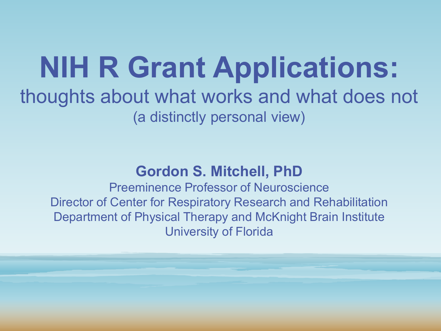### **NIH R Grant Applications:** thoughts about what works and what does not (a distinctly personal view)

### **Gordon S. Mitchell, PhD**

Preeminence Professor of Neuroscience Director of Center for Respiratory Research and Rehabilitation Department of Physical Therapy and McKnight Brain Institute University of Florida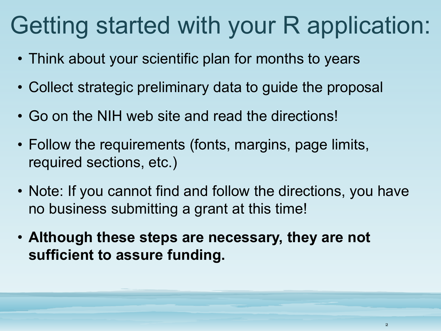### Getting started with your R application:

- Think about your scientific plan for months to years
- Collect strategic preliminary data to guide the proposal
- Go on the NIH web site and read the directions!
- Follow the requirements (fonts, margins, page limits, required sections, etc.)
- Note: If you cannot find and follow the directions, you have no business submitting a grant at this time!
- **Although these steps are necessary, they are not sufficient to assure funding.**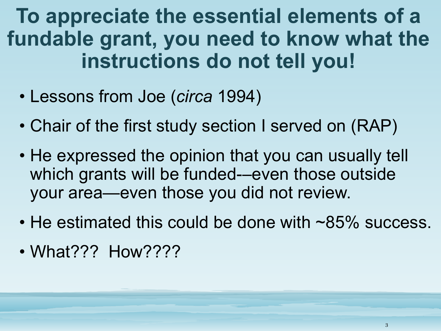**To appreciate the essential elements of a fundable grant, you need to know what the instructions do not tell you!**

- Lessons from Joe (*circa* 1994)
- Chair of the first study section I served on (RAP)
- He expressed the opinion that you can usually tell which grants will be funded—even those outside your area—even those you did not review.
- He estimated this could be done with ~85% success.
- What??? How????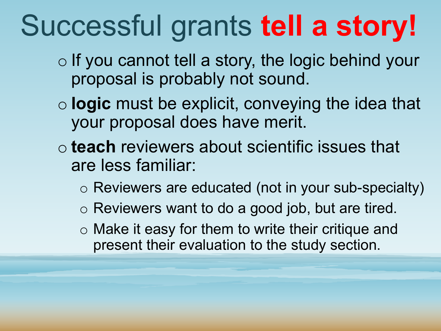# Successful grants **tell a story!**

- o If you cannot tell a story, the logic behind your proposal is probably not sound.
- o **logic** must be explicit, conveying the idea that your proposal does have merit.
- o **teach** reviewers about scientific issues that are less familiar:
	- o Reviewers are educated (not in your sub-specialty)
	- o Reviewers want to do a good job, but are tired.
	- o Make it easy for them to write their critique and present their evaluation to the study section.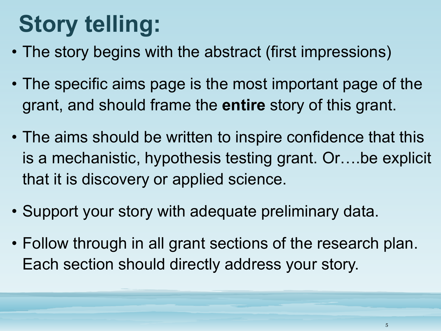## **Story telling:**

- The story begins with the abstract (first impressions)
- The specific aims page is the most important page of the grant, and should frame the **entire** story of this grant.
- The aims should be written to inspire confidence that this is a mechanistic, hypothesis testing grant. Or….be explicit that it is discovery or applied science.
- Support your story with adequate preliminary data.
- Follow through in all grant sections of the research plan. Each section should directly address your story.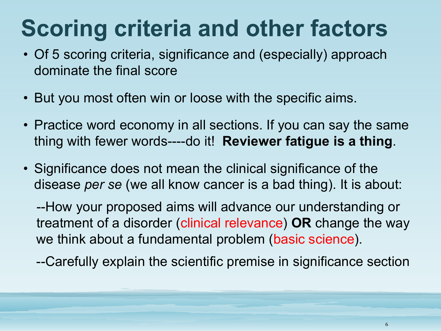### **Scoring criteria and other factors**

- Of 5 scoring criteria, significance and (especially) approach dominate the final score
- But you most often win or loose with the specific aims.
- Practice word economy in all sections. If you can say the same thing with fewer words----do it! **Reviewer fatigue is a thing**.
- Significance does not mean the clinical significance of the disease *per se* (we all know cancer is a bad thing). It is about:

--How your proposed aims will advance our understanding or treatment of a disorder (clinical relevance) **OR** change the way we think about a fundamental problem (basic science).

--Carefully explain the scientific premise in significance section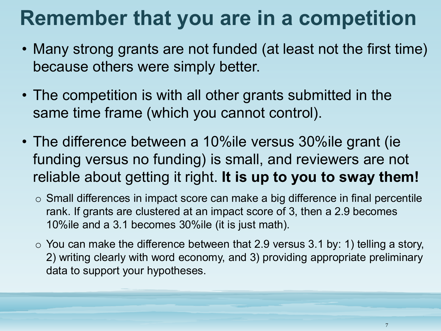### **Remember that you are in a competition**

- Many strong grants are not funded (at least not the first time) because others were simply better.
- The competition is with all other grants submitted in the same time frame (which you cannot control).
- The difference between a 10%ile versus 30%ile grant (ie funding versus no funding) is small, and reviewers are not reliable about getting it right. **It is up to you to sway them!**
	- $\circ$  Small differences in impact score can make a big difference in final percentile rank. If grants are clustered at an impact score of 3, then a 2.9 becomes 10%ile and a 3.1 becomes 30%ile (it is just math).
	- $\circ$  You can make the difference between that 2.9 versus 3.1 by: 1) telling a story, 2) writing clearly with word economy, and 3) providing appropriate preliminary data to support your hypotheses.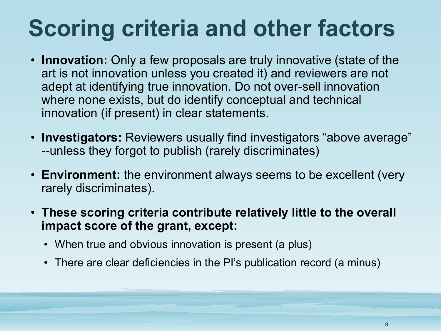### **Scoring criteria and other factors**

- **Innovation:** Only a few proposals are truly innovative (state of the art is not innovation unless you created it) and reviewers are not adept at identifying true innovation. Do not over-sell innovation where none exists, but do identify conceptual and technical innovation (if present) in clear statements.
- **Investigators:** Reviewers usually find investigators "above average" --unless they forgot to publish (rarely discriminates)
- **Environment:** the environment always seems to be excellent (very rarely discriminates).
- **These scoring criteria contribute relatively little to the overall impact score of the grant, except:**
	- When true and obvious innovation is present (a plus)
	- There are clear deficiencies in the PI's publication record (a minus)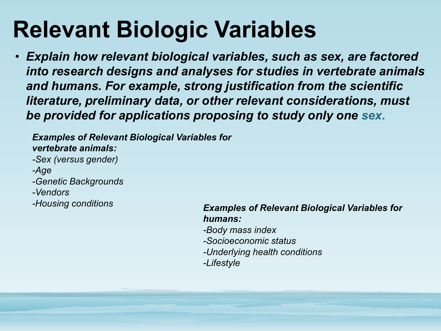### **Relevant Biologic Variables**

• *Explain how relevant biological variables, such as sex, are factored into research designs and analyses for studies in vertebrate animals and humans. For example, strong justification from the scientific literature, preliminary data, or other relevant considerations, must be provided for applications proposing to study only one sex.*

*Examples of Relevant Biological Variables for vertebrate animals:*

*-Sex (versus gender)*

*-Age*

*-Genetic Backgrounds*

*-Vendors*

#### *-Housing conditions Examples of Relevant Biological Variables for humans:*

- *-Body mass index*
- *-Socioeconomic status*
- *-Underlying health conditions*
- *-Lifestyle*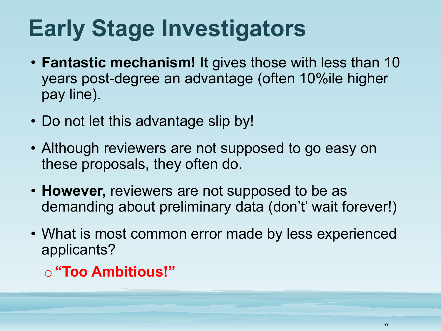### **Early Stage Investigators**

- **Fantastic mechanism!** It gives those with less than 10 years post-degree an advantage (often 10%ile higher pay line).
- Do not let this advantage slip by!
- Although reviewers are not supposed to go easy on these proposals, they often do.
- **However,** reviewers are not supposed to be as demanding about preliminary data (don't' wait forever!)
- What is most common error made by less experienced applicants?
	- o**"Too Ambitious!"**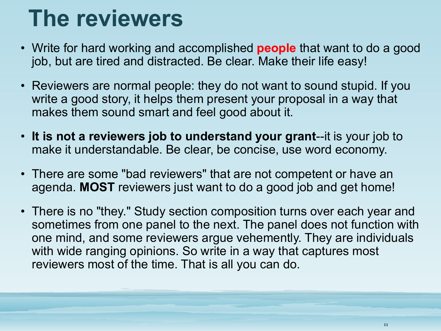### **The reviewers**

- Write for hard working and accomplished **people** that want to do a good job, but are tired and distracted. Be clear. Make their life easy!
- Reviewers are normal people: they do not want to sound stupid. If you write a good story, it helps them present your proposal in a way that makes them sound smart and feel good about it.
- **It is not a reviewers job to understand your grant**--it is your job to make it understandable. Be clear, be concise, use word economy.
- There are some "bad reviewers" that are not competent or have an agenda. **MOST** reviewers just want to do a good job and get home!
- There is no "they." Study section composition turns over each year and sometimes from one panel to the next. The panel does not function with one mind, and some reviewers argue vehemently. They are individuals with wide ranging opinions. So write in a way that captures most reviewers most of the time. That is all you can do.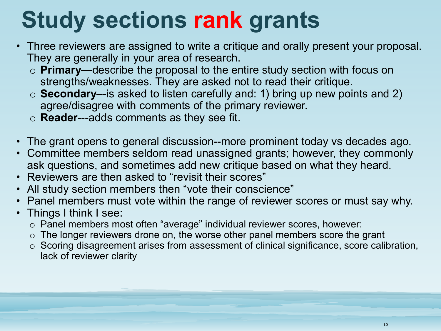### **Study sections rank grants**

- Three reviewers are assigned to write a critique and orally present your proposal. They are generally in your area of research.
	- o **Primary**—describe the proposal to the entire study section with focus on strengths/weaknesses. They are asked not to read their critique.
	- o **Secondary**–-is asked to listen carefully and: 1) bring up new points and 2) agree/disagree with comments of the primary reviewer.
	- o **Reader**---adds comments as they see fit.
- The grant opens to general discussion--more prominent today vs decades ago.
- Committee members seldom read unassigned grants; however, they commonly ask questions, and sometimes add new critique based on what they heard.
- Reviewers are then asked to "revisit their scores"
- All study section members then "vote their conscience"
- Panel members must vote within the range of reviewer scores or must say why.
- Things I think I see:
	- o Panel members most often "average" individual reviewer scores, however:
	- $\circ$  The longer reviewers drone on, the worse other panel members score the grant
	- o Scoring disagreement arises from assessment of clinical significance, score calibration, lack of reviewer clarity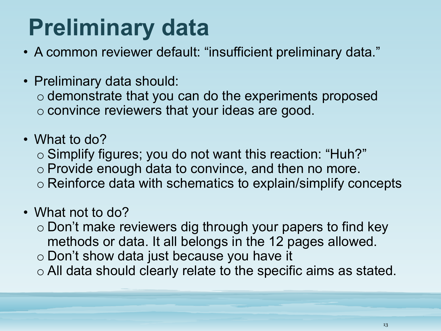## **Preliminary data**

- A common reviewer default: "insufficient preliminary data."
- Preliminary data should:

o demonstrate that you can do the experiments proposed o convince reviewers that your ideas are good.

- What to do?
	- o Simplify figures; you do not want this reaction: "Huh?"
	- o Provide enough data to convince, and then no more.
	- o Reinforce data with schematics to explain/simplify concepts

### • What not to do?

- o Don't make reviewers dig through your papers to find key methods or data. It all belongs in the 12 pages allowed.
- o Don't show data just because you have it
- o All data should clearly relate to the specific aims as stated.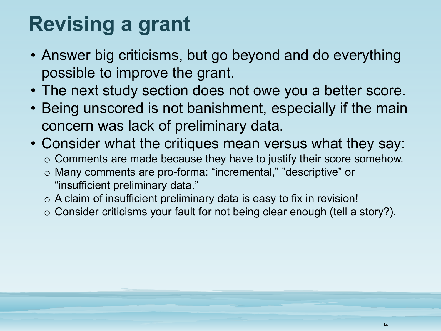### **Revising a grant**

- Answer big criticisms, but go beyond and do everything possible to improve the grant.
- The next study section does not owe you a better score.
- Being unscored is not banishment, especially if the main concern was lack of preliminary data.
- Consider what the critiques mean versus what they say:
	- $\circ$  Comments are made because they have to justify their score somehow.
	- o Many comments are pro-forma: "incremental," "descriptive" or "insufficient preliminary data."
	- $\circ$  A claim of insufficient preliminary data is easy to fix in revision!
	- $\circ$  Consider criticisms your fault for not being clear enough (tell a story?).